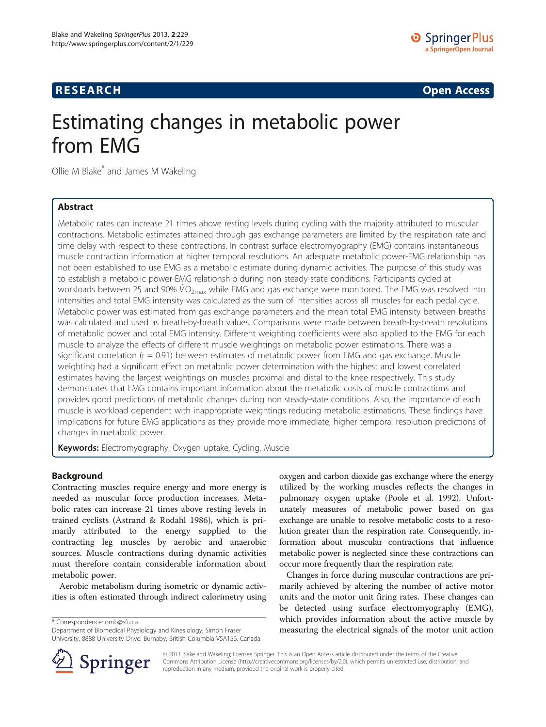## **RESEARCH RESEARCH CONSUMING ACCESS**

# Estimating changes in metabolic power from EMG

Ollie M Blake\* and James M Wakeling

## Abstract

Metabolic rates can increase 21 times above resting levels during cycling with the majority attributed to muscular contractions. Metabolic estimates attained through gas exchange parameters are limited by the respiration rate and time delay with respect to these contractions. In contrast surface electromyography (EMG) contains instantaneous muscle contraction information at higher temporal resolutions. An adequate metabolic power-EMG relationship has not been established to use EMG as a metabolic estimate during dynamic activities. The purpose of this study was to establish a metabolic power-EMG relationship during non steady-state conditions. Participants cycled at workloads between 25 and 90%  $VO_{2max}$  while EMG and gas exchange were monitored. The EMG was resolved into intensities and total EMG intensity was calculated as the sum of intensities across all muscles for each pedal cycle. Metabolic power was estimated from gas exchange parameters and the mean total EMG intensity between breaths was calculated and used as breath-by-breath values. Comparisons were made between breath-by-breath resolutions of metabolic power and total EMG intensity. Different weighting coefficients were also applied to the EMG for each muscle to analyze the effects of different muscle weightings on metabolic power estimations. There was a significant correlation ( $r = 0.91$ ) between estimates of metabolic power from EMG and gas exchange. Muscle weighting had a significant effect on metabolic power determination with the highest and lowest correlated estimates having the largest weightings on muscles proximal and distal to the knee respectively. This study demonstrates that EMG contains important information about the metabolic costs of muscle contractions and provides good predictions of metabolic changes during non steady-state conditions. Also, the importance of each muscle is workload dependent with inappropriate weightings reducing metabolic estimations. These findings have implications for future EMG applications as they provide more immediate, higher temporal resolution predictions of changes in metabolic power.

Keywords: Electromyography, Oxygen uptake, Cycling, Muscle

## Background

Contracting muscles require energy and more energy is needed as muscular force production increases. Metabolic rates can increase 21 times above resting levels in trained cyclists (Astrand & Rodahl [1986\)](#page-6-0), which is primarily attributed to the energy supplied to the contracting leg muscles by aerobic and anaerobic sources. Muscle contractions during dynamic activities must therefore contain considerable information about metabolic power.

Aerobic metabolism during isometric or dynamic activities is often estimated through indirect calorimetry using

\* Correspondence: [omb@sfu.ca](mailto:omb@sfu.ca)

Department of Biomedical Physiology and Kinesiology, Simon Fraser University, 8888 University Drive, Burnaby, British Columbia V5A1S6, Canada

oxygen and carbon dioxide gas exchange where the energy utilized by the working muscles reflects the changes in pulmonary oxygen uptake (Poole et al. [1992\)](#page-6-0). Unfortunately measures of metabolic power based on gas exchange are unable to resolve metabolic costs to a resolution greater than the respiration rate. Consequently, information about muscular contractions that influence metabolic power is neglected since these contractions can occur more frequently than the respiration rate.

Changes in force during muscular contractions are primarily achieved by altering the number of active motor units and the motor unit firing rates. These changes can be detected using surface electromyography (EMG), which provides information about the active muscle by measuring the electrical signals of the motor unit action



© 2013 Blake and Wakeling; licensee Springer. This is an Open Access article distributed under the terms of the Creative Commons Attribution License (<http://creativecommons.org/licenses/by/2.0>), which permits unrestricted use, distribution, and reproduction in any medium, provided the original work is properly cited.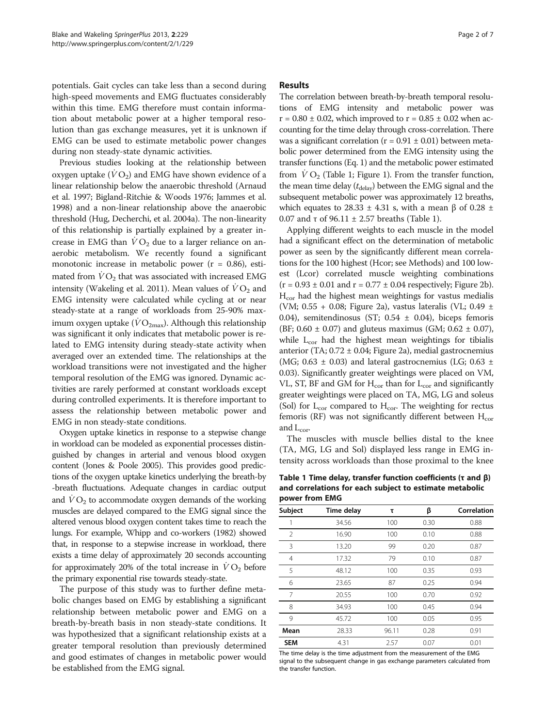<span id="page-1-0"></span>potentials. Gait cycles can take less than a second during high-speed movements and EMG fluctuates considerably within this time. EMG therefore must contain information about metabolic power at a higher temporal resolution than gas exchange measures, yet it is unknown if EMG can be used to estimate metabolic power changes during non steady-state dynamic activities.

Previous studies looking at the relationship between oxygen uptake  $(\dot{V}O_2)$  and EMG have shown evidence of a linear relationship below the anaerobic threshold (Arnaud et al. [1997;](#page-6-0) Bigland-Ritchie & Woods [1976;](#page-6-0) Jammes et al. [1998\)](#page-6-0) and a non-linear relationship above the anaerobic threshold (Hug, Decherchi, et al. [2004a\)](#page-6-0). The non-linearity of this relationship is partially explained by a greater increase in EMG than  $\dot{V}O_2$  due to a larger reliance on anaerobic metabolism. We recently found a significant monotonic increase in metabolic power ( $r = 0.86$ ), estimated from  $VO<sub>2</sub>$  that was associated with increased EMG intensity (Wakeling et al. [2011\)](#page-6-0). Mean values of  $\dot{V}\text{O}_2$  and EMG intensity were calculated while cycling at or near steady-state at a range of workloads from 25-90% maximum oxygen uptake ( $\rm\dot{VO}_{2max}$ ). Although this relationship was significant it only indicates that metabolic power is related to EMG intensity during steady-state activity when averaged over an extended time. The relationships at the workload transitions were not investigated and the higher temporal resolution of the EMG was ignored. Dynamic activities are rarely performed at constant workloads except during controlled experiments. It is therefore important to assess the relationship between metabolic power and EMG in non steady-state conditions.

Oxygen uptake kinetics in response to a stepwise change in workload can be modeled as exponential processes distinguished by changes in arterial and venous blood oxygen content (Jones & Poole [2005](#page-6-0)). This provides good predictions of the oxygen uptake kinetics underlying the breath-by -breath fluctuations. Adequate changes in cardiac output and  $VO<sub>2</sub>$  to accommodate oxygen demands of the working muscles are delayed compared to the EMG signal since the altered venous blood oxygen content takes time to reach the lungs. For example, Whipp and co-workers (1982) showed that, in response to a stepwise increase in workload, there exists a time delay of approximately 20 seconds accounting for approximately 20% of the total increase in  $\dot{V} O_2$  before the primary exponential rise towards steady-state.

The purpose of this study was to further define metabolic changes based on EMG by establishing a significant relationship between metabolic power and EMG on a breath-by-breath basis in non steady-state conditions. It was hypothesized that a significant relationship exists at a greater temporal resolution than previously determined and good estimates of changes in metabolic power would be established from the EMG signal.

#### Results

The correlation between breath-by-breath temporal resolutions of EMG intensity and metabolic power was  $r = 0.80 \pm 0.02$ , which improved to  $r = 0.85 \pm 0.02$  when accounting for the time delay through cross-correlation. There was a significant correlation ( $r = 0.91 \pm 0.01$ ) between metabolic power determined from the EMG intensity using the transfer functions (Eq. [1\)](#page-6-0) and the metabolic power estimated from  $\dot{V} O_2$  (Table [1](#page-2-0); Figure 1). From the transfer function, the mean time delay  $(t_{\text{delay}})$  between the EMG signal and the subsequent metabolic power was approximately 12 breaths, which equates to 28.33  $\pm$  4.31 s, with a mean  $\beta$  of 0.28  $\pm$ 0.07 and τ of 96.11  $\pm$  2.57 breaths (Table 1).

Applying different weights to each muscle in the model had a significant effect on the determination of metabolic power as seen by the significantly different mean correlations for the 100 highest (Hcor; see Methods) and 100 lowest (Lcor) correlated muscle weighting combinations  $(r = 0.93 \pm 0.01$  and  $r = 0.77 \pm 0.04$  respectively; Figure [2](#page-2-0)b). H<sub>cor</sub> had the highest mean weightings for vastus medialis (VM;  $0.55 + 0.08$ ; Figure [2](#page-2-0)a), vastus lateralis (VL;  $0.49 \pm$ 0.04), semitendinosus (ST; 0.54 ± 0.04), biceps femoris (BF;  $0.60 \pm 0.07$ ) and gluteus maximus (GM;  $0.62 \pm 0.07$ ), while L<sub>cor</sub> had the highest mean weightings for tibialis anterior (TA;  $0.72 \pm 0.04$ ; Figure 2a), medial gastrocnemius (MG; 0.63  $\pm$  0.03) and lateral gastrocnemius (LG; 0.63  $\pm$ 0.03). Significantly greater weightings were placed on VM, VL, ST, BF and GM for  $H_{cor}$  than for  $L_{cor}$  and significantly greater weightings were placed on TA, MG, LG and soleus (Sol) for  $L_{cor}$  compared to  $H_{cor}$ . The weighting for rectus femoris (RF) was not significantly different between  $H_{cor}$ and  $L_{\rm cor}$ .

The muscles with muscle bellies distal to the knee (TA, MG, LG and Sol) displayed less range in EMG intensity across workloads than those proximal to the knee

Table 1 Time delay, transfer function coefficients (τ and β) and correlations for each subject to estimate metabolic power from EMG

| Subject    | Time delay | τ     | β    | Correlation |
|------------|------------|-------|------|-------------|
|            | 34.56      | 100   | 0.30 | 0.88        |
| 2          | 16.90      | 100   | 0.10 | 0.88        |
| 3          | 13.20      | 99    | 0.20 | 0.87        |
| 4          | 17.32      | 79    | 0.10 | 0.87        |
| 5          | 48.12      | 100   | 0.35 | 0.93        |
| 6          | 23.65      | 87    | 0.25 | 0.94        |
| 7          | 20.55      | 100   | 0.70 | 0.92        |
| 8          | 34.93      | 100   | 0.45 | 0.94        |
| 9          | 45.72      | 100   | 0.05 | 0.95        |
| Mean       | 28.33      | 96.11 | 0.28 | 0.91        |
| <b>SEM</b> | 4.31       | 2.57  | 0.07 | 0.01        |

The time delay is the time adjustment from the measurement of the EMG signal to the subsequent change in gas exchange parameters calculated from the transfer function.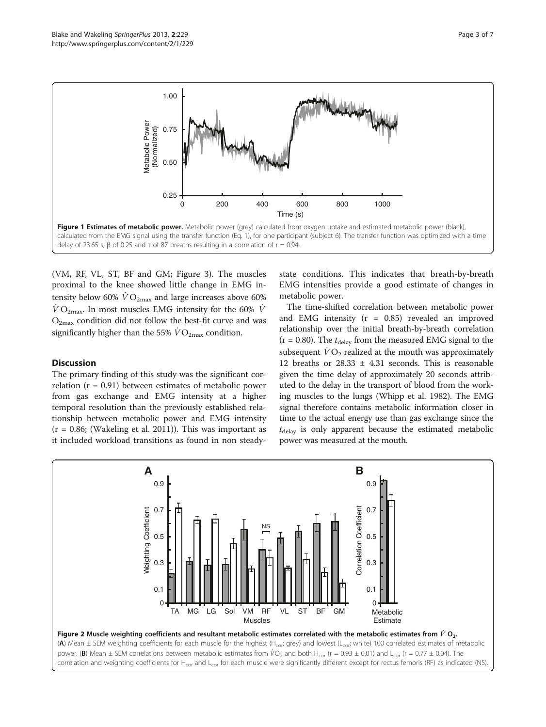<span id="page-2-0"></span>

(VM, RF, VL, ST, BF and GM; Figure [3\)](#page-3-0). The muscles proximal to the knee showed little change in EMG intensity below 60%  $\dot{V}$ O<sub>2max</sub> and large increases above 60%  $\dot{V}$  O<sub>2max</sub>. In most muscles EMG intensity for the 60%  $\dot{V}$  $O_{2\text{max}}$  condition did not follow the best-fit curve and was significantly higher than the 55%  $\dot{V}O_{2\text{max}}$  condition.

## **Discussion**

The primary finding of this study was the significant correlation ( $r = 0.91$ ) between estimates of metabolic power from gas exchange and EMG intensity at a higher temporal resolution than the previously established relationship between metabolic power and EMG intensity  $(r = 0.86;$  (Wakeling et al. [2011](#page-6-0))). This was important as it included workload transitions as found in non steadystate conditions. This indicates that breath-by-breath EMG intensities provide a good estimate of changes in metabolic power.

The time-shifted correlation between metabolic power and EMG intensity  $(r = 0.85)$  revealed an improved relationship over the initial breath-by-breath correlation ( $r = 0.80$ ). The  $t_{delay}$  from the measured EMG signal to the subsequent  $\dot{V}O_2$  realized at the mouth was approximately 12 breaths or  $28.33 \pm 4.31$  seconds. This is reasonable given the time delay of approximately 20 seconds attributed to the delay in the transport of blood from the working muscles to the lungs (Whipp et al. [1982](#page-6-0)). The EMG signal therefore contains metabolic information closer in time to the actual energy use than gas exchange since the  $t_{\text{delay}}$  is only apparent because the estimated metabolic power was measured at the mouth.

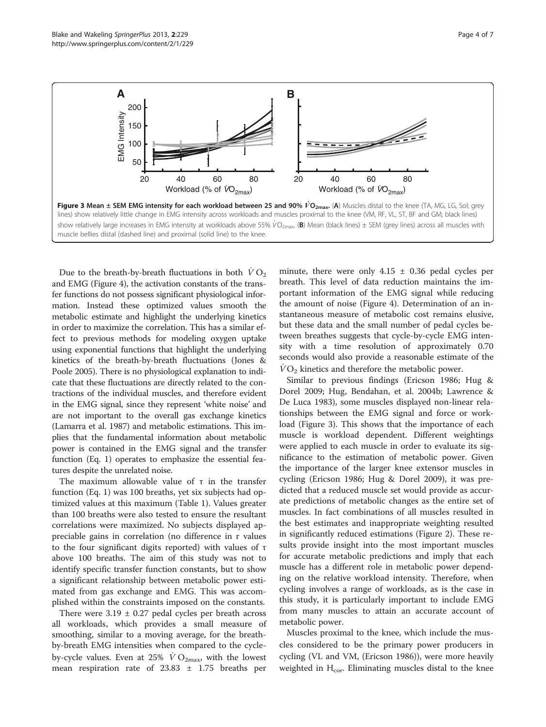<span id="page-3-0"></span>

Due to the breath-by-breath fluctuations in both  $\dot{V} O_2$ and EMG (Figure [4](#page-4-0)), the activation constants of the transfer functions do not possess significant physiological information. Instead these optimized values smooth the metabolic estimate and highlight the underlying kinetics in order to maximize the correlation. This has a similar effect to previous methods for modeling oxygen uptake using exponential functions that highlight the underlying kinetics of the breath-by-breath fluctuations (Jones & Poole [2005\)](#page-6-0). There is no physiological explanation to indicate that these fluctuations are directly related to the contractions of the individual muscles, and therefore evident in the EMG signal, since they represent 'white noise' and are not important to the overall gas exchange kinetics (Lamarra et al. [1987\)](#page-6-0) and metabolic estimations. This implies that the fundamental information about metabolic power is contained in the EMG signal and the transfer function (Eq. [1\)](#page-6-0) operates to emphasize the essential features despite the unrelated noise.

The maximum allowable value of  $\tau$  in the transfer function (Eq. [1\)](#page-6-0) was 100 breaths, yet six subjects had optimized values at this maximum (Table [1](#page-1-0)). Values greater than 100 breaths were also tested to ensure the resultant correlations were maximized. No subjects displayed appreciable gains in correlation (no difference in r values to the four significant digits reported) with values of τ above 100 breaths. The aim of this study was not to identify specific transfer function constants, but to show a significant relationship between metabolic power estimated from gas exchange and EMG. This was accomplished within the constraints imposed on the constants.

There were  $3.19 \pm 0.27$  pedal cycles per breath across all workloads, which provides a small measure of smoothing, similar to a moving average, for the breathby-breath EMG intensities when compared to the cycleby-cycle values. Even at 25%  $\dot{V}$  O<sub>2max</sub>, with the lowest mean respiration rate of 23.83 ± 1.75 breaths per

minute, there were only  $4.15 \pm 0.36$  pedal cycles per breath. This level of data reduction maintains the important information of the EMG signal while reducing the amount of noise (Figure [4](#page-4-0)). Determination of an instantaneous measure of metabolic cost remains elusive, but these data and the small number of pedal cycles between breathes suggests that cycle-by-cycle EMG intensity with a time resolution of approximately 0.70 seconds would also provide a reasonable estimate of the  $VO<sub>2</sub>$  kinetics and therefore the metabolic power.

Similar to previous findings (Ericson [1986;](#page-6-0) Hug & Dorel [2009;](#page-6-0) Hug, Bendahan, et al. [2004b;](#page-6-0) Lawrence & De Luca [1983\)](#page-6-0), some muscles displayed non-linear relationships between the EMG signal and force or workload (Figure 3). This shows that the importance of each muscle is workload dependent. Different weightings were applied to each muscle in order to evaluate its significance to the estimation of metabolic power. Given the importance of the larger knee extensor muscles in cycling (Ericson [1986](#page-6-0); Hug & Dorel [2009](#page-6-0)), it was predicted that a reduced muscle set would provide as accurate predictions of metabolic changes as the entire set of muscles. In fact combinations of all muscles resulted in the best estimates and inappropriate weighting resulted in significantly reduced estimations (Figure [2\)](#page-2-0). These results provide insight into the most important muscles for accurate metabolic predictions and imply that each muscle has a different role in metabolic power depending on the relative workload intensity. Therefore, when cycling involves a range of workloads, as is the case in this study, it is particularly important to include EMG from many muscles to attain an accurate account of metabolic power.

Muscles proximal to the knee, which include the muscles considered to be the primary power producers in cycling (VL and VM, (Ericson [1986\)](#page-6-0)), were more heavily weighted in  $H_{cor}$ . Eliminating muscles distal to the knee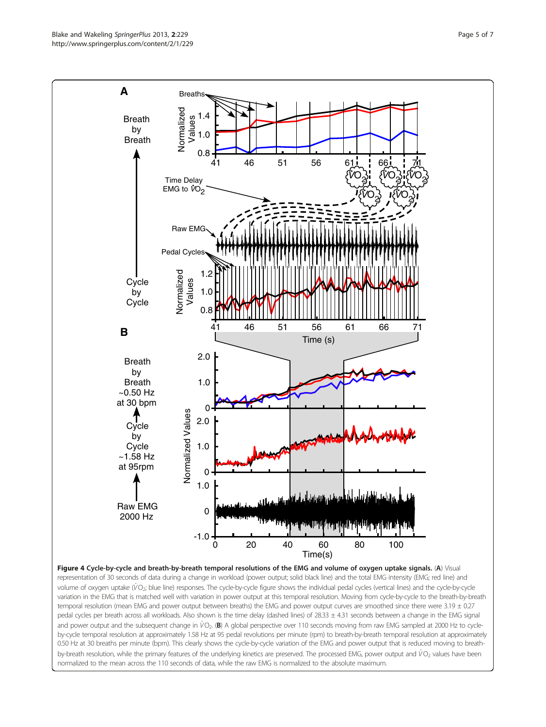<span id="page-4-0"></span>

representation of 30 seconds of data during a change in workload (power output; solid black line) and the total EMG intensity (EMG; red line) and volume of oxygen uptake (VO<sub>2</sub>; blue line) responses. The cycle-by-cycle figure shows the individual pedal cycles (vertical lines) and the cycle-by-cycle variation in the EMG that is matched well with variation in power output at this temporal resolution. Moving from cycle-by-cycle to the breath-by-breath temporal resolution (mean EMG and power output between breaths) the EMG and power output curves are smoothed since there were  $3.19 \pm 0.27$ pedal cycles per breath across all workloads. Also shown is the time delay (dashed lines) of 28.33 ± 4.31 seconds between a change in the EMG signal and power output and the subsequent change in  $\dot{V}O_2$ . (B) A global perspective over 110 seconds moving from raw EMG sampled at 2000 Hz to cycleby-cycle temporal resolution at approximately 1.58 Hz at 95 pedal revolutions per minute (rpm) to breath-by-breath temporal resolution at approximately 0.50 Hz at 30 breaths per minute (bpm). This clearly shows the cycle-by-cycle variation of the EMG and power output that is reduced moving to breathby-breath resolution, while the primary features of the underlying kinetics are preserved. The processed EMG, power output and VO<sub>2</sub> values have been normalized to the mean across the 110 seconds of data, while the raw EMG is normalized to the absolute maximum.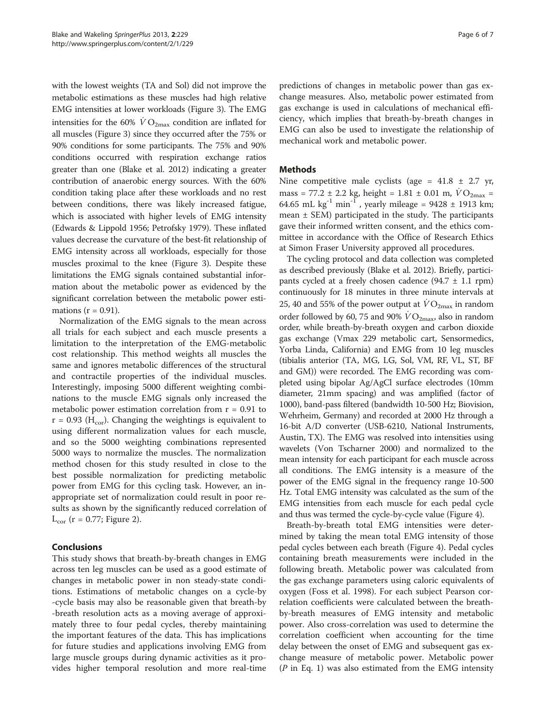with the lowest weights (TA and Sol) did not improve the metabolic estimations as these muscles had high relative EMG intensities at lower workloads (Figure [3](#page-3-0)). The EMG intensities for the 60%  $\dot{V}O_{2\text{max}}$  condition are inflated for all muscles (Figure [3](#page-3-0)) since they occurred after the 75% or 90% conditions for some participants. The 75% and 90% conditions occurred with respiration exchange ratios greater than one (Blake et al. [2012](#page-6-0)) indicating a greater contribution of anaerobic energy sources. With the 60% condition taking place after these workloads and no rest between conditions, there was likely increased fatigue, which is associated with higher levels of EMG intensity (Edwards & Lippold [1956](#page-6-0); Petrofsky [1979](#page-6-0)). These inflated values decrease the curvature of the best-fit relationship of EMG intensity across all workloads, especially for those muscles proximal to the knee (Figure [3](#page-3-0)). Despite these limitations the EMG signals contained substantial information about the metabolic power as evidenced by the significant correlation between the metabolic power estimations ( $r = 0.91$ ).

Normalization of the EMG signals to the mean across all trials for each subject and each muscle presents a limitation to the interpretation of the EMG-metabolic cost relationship. This method weights all muscles the same and ignores metabolic differences of the structural and contractile properties of the individual muscles. Interestingly, imposing 5000 different weighting combinations to the muscle EMG signals only increased the metabolic power estimation correlation from  $r = 0.91$  to  $r = 0.93$  (H<sub>cor</sub>). Changing the weightings is equivalent to using different normalization values for each muscle, and so the 5000 weighting combinations represented 5000 ways to normalize the muscles. The normalization method chosen for this study resulted in close to the best possible normalization for predicting metabolic power from EMG for this cycling task. However, an inappropriate set of normalization could result in poor results as shown by the significantly reduced correlation of  $L_{cor}$  (r = 0.77; Figure [2](#page-2-0)).

## Conclusions

This study shows that breath-by-breath changes in EMG across ten leg muscles can be used as a good estimate of changes in metabolic power in non steady-state conditions. Estimations of metabolic changes on a cycle-by -cycle basis may also be reasonable given that breath-by -breath resolution acts as a moving average of approximately three to four pedal cycles, thereby maintaining the important features of the data. This has implications for future studies and applications involving EMG from large muscle groups during dynamic activities as it provides higher temporal resolution and more real-time

predictions of changes in metabolic power than gas exchange measures. Also, metabolic power estimated from gas exchange is used in calculations of mechanical efficiency, which implies that breath-by-breath changes in EMG can also be used to investigate the relationship of mechanical work and metabolic power.

## Methods

Nine competitive male cyclists (age =  $41.8 \pm 2.7$  yr, mass = 77.2 ± 2.2 kg, height = 1.81 ± 0.01 m,  $\dot{V}O_{2max}$  = 64.65 mL  $kg^{-1}$  min<sup>-1</sup>, yearly mileage = 9428 ± 1913 km; mean  $\pm$  SEM) participated in the study. The participants gave their informed written consent, and the ethics committee in accordance with the Office of Research Ethics at Simon Fraser University approved all procedures.

The cycling protocol and data collection was completed as described previously (Blake et al. [2012\)](#page-6-0). Briefly, participants cycled at a freely chosen cadence  $(94.7 \pm 1.1$  rpm) continuously for 18 minutes in three minute intervals at 25, 40 and 55% of the power output at  $\dot{V}O_{2\text{max}}$  in random order followed by 60, 75 and 90%  $\dot{V}O_{2\text{max}}$ , also in random order, while breath-by-breath oxygen and carbon dioxide gas exchange (Vmax 229 metabolic cart, Sensormedics, Yorba Linda, California) and EMG from 10 leg muscles (tibialis anterior (TA, MG, LG, Sol, VM, RF, VL, ST, BF and GM)) were recorded. The EMG recording was completed using bipolar Ag/AgCl surface electrodes (10mm diameter, 21mm spacing) and was amplified (factor of 1000), band-pass filtered (bandwidth 10-500 Hz; Biovision, Wehrheim, Germany) and recorded at 2000 Hz through a 16-bit A/D converter (USB-6210, National Instruments, Austin, TX). The EMG was resolved into intensities using wavelets (Von Tscharner [2000\)](#page-6-0) and normalized to the mean intensity for each participant for each muscle across all conditions. The EMG intensity is a measure of the power of the EMG signal in the frequency range 10-500 Hz. Total EMG intensity was calculated as the sum of the EMG intensities from each muscle for each pedal cycle and thus was termed the cycle-by-cycle value (Figure [4](#page-4-0)).

Breath-by-breath total EMG intensities were determined by taking the mean total EMG intensity of those pedal cycles between each breath (Figure [4](#page-4-0)). Pedal cycles containing breath measurements were included in the following breath. Metabolic power was calculated from the gas exchange parameters using caloric equivalents of oxygen (Foss et al. [1998](#page-6-0)). For each subject Pearson correlation coefficients were calculated between the breathby-breath measures of EMG intensity and metabolic power. Also cross-correlation was used to determine the correlation coefficient when accounting for the time delay between the onset of EMG and subsequent gas exchange measure of metabolic power. Metabolic power  $(P \text{ in Eq. 1})$  $(P \text{ in Eq. 1})$  $(P \text{ in Eq. 1})$  was also estimated from the EMG intensity